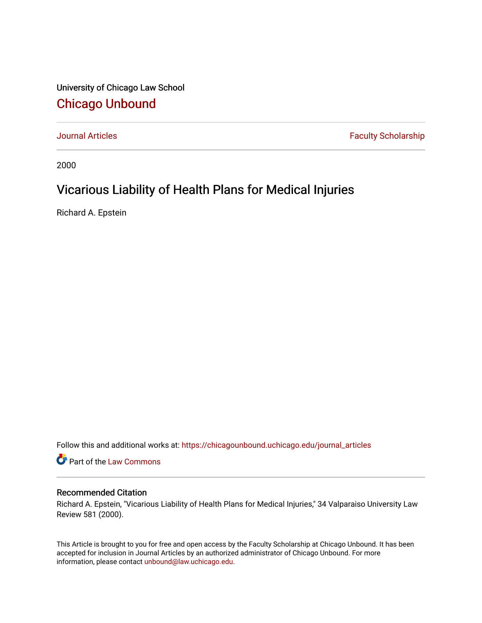University of Chicago Law School [Chicago Unbound](https://chicagounbound.uchicago.edu/)

[Journal Articles](https://chicagounbound.uchicago.edu/journal_articles) **Faculty Scholarship Faculty Scholarship** 

2000

# Vicarious Liability of Health Plans for Medical Injuries

Richard A. Epstein

Follow this and additional works at: [https://chicagounbound.uchicago.edu/journal\\_articles](https://chicagounbound.uchicago.edu/journal_articles?utm_source=chicagounbound.uchicago.edu%2Fjournal_articles%2F1351&utm_medium=PDF&utm_campaign=PDFCoverPages) 

Part of the [Law Commons](http://network.bepress.com/hgg/discipline/578?utm_source=chicagounbound.uchicago.edu%2Fjournal_articles%2F1351&utm_medium=PDF&utm_campaign=PDFCoverPages)

### Recommended Citation

Richard A. Epstein, "Vicarious Liability of Health Plans for Medical Injuries," 34 Valparaiso University Law Review 581 (2000).

This Article is brought to you for free and open access by the Faculty Scholarship at Chicago Unbound. It has been accepted for inclusion in Journal Articles by an authorized administrator of Chicago Unbound. For more information, please contact [unbound@law.uchicago.edu](mailto:unbound@law.uchicago.edu).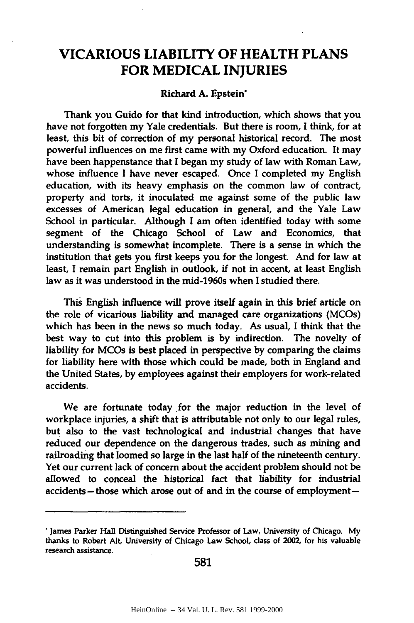## **VICARIOUS LIABILITY OF HEALTH PLANS FOR MEDICAL INJURIES**

#### Richard **A.** Epstein\*

Thank you Guido for that kind introduction, which shows that you have not forgotten my Yale credentials. But there is room, **I** think, for at least, this bit of correction of my personal historical record. The most powerful influences on me first came with my Oxford education. It may have been happenstance that **I** began my study of law with Roman Law, whose influence **I** have never escaped. Once I completed my English education, with its heavy emphasis on the common law of contract, property and torts, it inoculated me against some of the public law excesses of American legal education in general, and the Yale Law School in particular. Although **I** am often identified today with some segment of the Chicago School of Law and Economics, that understanding is somewhat incomplete. There is a sense in which the institution that gets you first keeps you for the longest. And for law at least, I remain part English in outlook, if not in accent, at least English law as it was understood in the mid-1960s when **I** studied there.

This English influence will prove itself again in this brief article on the role of vicarious liability and managed care organizations (MCOs) which has been in the news so much today. As usual, **I** think that the best way to cut into this problem is **by** indirection. The novelty of liability for MCOs is best placed in perspective **by** comparing the claims for liability here with those which could be made, both in England and the United States, **by** employees against their employers for work-related accidents.

We are fortunate today for the major reduction in the level of workplace injuries, a shift that is attributable not only to our legal rules, but also to the vast technological and industrial changes that have reduced our dependence on the dangerous trades, such as mining and railroading that loomed so large in the last half of the nineteenth century. Yet our current lack of concern about the accident problem should not be allowed to conceal the historical fact that liability for industrial accidents-those which arose out of and in the course of employment-

**581**

**<sup>\*</sup>** James Parker Hall Distinguished Service Professor of Law, University of Chicago. **My** thanks to Robert Alt, University of Chicago Law School, class of **2002,** for his valuable research assistance.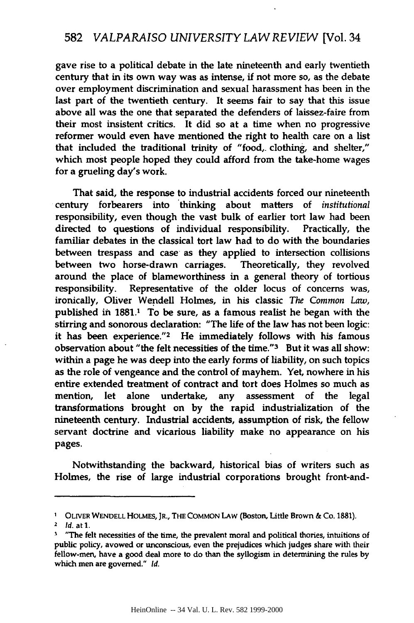gave rise to a political debate in the late nineteenth and early twentieth century that in its own way was as intense, if not more so, as the debate over employment discrimination and sexual harassment has been in the last part of the twentieth century. It seems fair to say that this issue above all was the one that separated the defenders of laissez-faire from their most insistent critics. It did so at a time when no progressive reformer would even have mentioned the right to health care on a list that included the traditional trinity of "food,. clothing, and shelter," which most people hoped they could afford from the take-home wages for a grueling day's work.

That said, the response to industrial accidents forced our nineteenth century forbearers into thinking about matters of *institutional* responsibility, even though the vast bulk of earlier tort law had been directed to questions of individual responsibility. Practically, the familiar debates in the classical tort law had to do with the boundaries between trespass and case as they applied to intersection collisions between two horse-drawn carriages. Theoretically, they revolved around the place of blameworthiness in a general theory of tortious responsibility. Representative of the older locus of concerns was, ironically, Oliver Wendell Holmes, in his classic *The Common Law,* published in **1881.1** To be sure, as a famous realist he began with the stirring and sonorous declaration: "The life of the law has not been logic: it has been experience."<sup>2</sup> He immediately follows with his famous observation about "the felt necessities of the time."3 But it was all show: within a page he was deep into the early forms of liability, on such topics as the role of vengeance and the control of mayhem. Yet, nowhere in his entire extended treatment of contract and tort does Holmes so much as mention, let alone undertake, any assessment of the legal transformations brought on by the rapid industrialization of the nineteenth century. Industrial accidents, assumption of risk, the fellow servant doctrine and vicarious liability make no appearance on his pages.

Notwithstanding the backward, historical bias of writers such as Holmes, the rise of large industrial corporations brought front-and-

**<sup>&#</sup>x27; OLIVER WENDELL** HOLMEs, JR., THE COMMON LAW (Boston, Little Brown & Co. 1881).

<sup>2</sup> **Id.** at **1.**

 $<sup>3</sup>$  "The felt necessities of the time, the prevalent moral and political thories, intuitions of</sup> public policy, avowed or unconscious, even the prejudices which judges share with their fellow-men, have a good deal more to do than the syllogism in determining the rules **by** which men are governed." *Id.*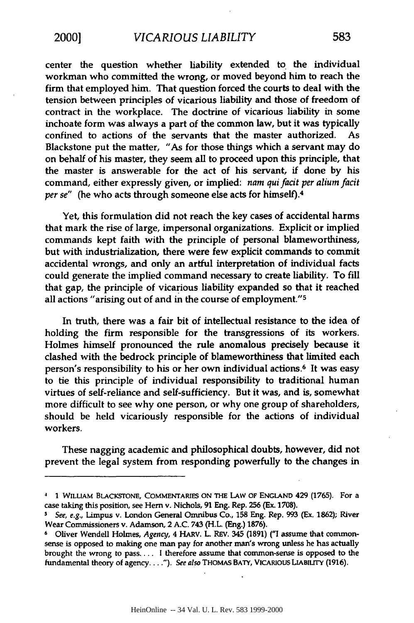center the question whether liability extended to the individual workman who committed the wrong, or moved beyond him to reach the firm that employed him. That question forced the courts to deal with the tension between principles of vicarious liability and those of freedom of contract in the workplace. The doctrine of vicarious liability in some inchoate form was always a part of the common law, but it was typically confined to actions of the servants that the master authorized. Blackstone put the matter, "As for those things which a servant may do on behalf of his master, they seem all to proceed upon this principle, that the master is answerable for the act of his servant, if done **by** his command, either expressly given, or implied: *nam qui facit per alium facit per se"* (he who acts through someone else acts for himself).<sup>4</sup>

Yet, this formulation did not reach the key cases of accidental harms that mark the rise of large, impersonal organizations. Explicit or implied commands kept faith with the principle of personal blameworthiness, but with industrialization, there were few explicit commands to commit accidental wrongs, and only an artful interpretation of individual facts could generate the implied command necessary to create liability. To **fill** that gap, the principle of vicarious liability expanded so that it reached all actions "arising out of and in the course of employment."<sup>5</sup>

In truth, there was a fair bit of intellectual resistance to the idea of holding the firm responsible for the transgressions of its workers. Holmes himself pronounced the rule anomalous precisely because it clashed with the bedrock principle of blameworthiness that limited each person's responsibility to his or her own individual actions.6 It was easy to tie this principle of individual responsibility to traditional human virtues of self-reliance and self-sufficiency. But it was, and is, somewhat more difficult to see why one person, or why one group of shareholders, should be held vicariously responsible for the actions of individual workers.

These nagging academic and philosophical doubts, however, did not prevent the legal system from responding powerfully to the changes in

**<sup>4 1</sup>** WILLIAM BLACKSTONE, COMMENTARIES ON THE **LAw** OF **ENGLAND** 429 **(1765).** For a case taking this position, see **Hem** v. Nichols, **91** Eng. Rep. **256** (Ex. **1708).**

*s See, e.g.,* Limpus v. London General Omnibus Co., **158** Eng. Rep. **993** (Ex. **1862);** River Wear Commissioners v. Adamson, 2 **A.C.** 743 (H.L. (Eng.) **1876).**

**<sup>6</sup>** Oliver Wendell Holmes, *Agency,* 4 HARV. L. REV. 345 **(1891) ("1** assume that commonsense is opposed to making one man pay for another man's wrong unless he has actually brought the wrong to pass.... I therefore assume that common-sense is opposed to the fundamental theory of agency **..** *"). See also* THOMAS BATY, VICARIOUS LIABILITY **(1916).**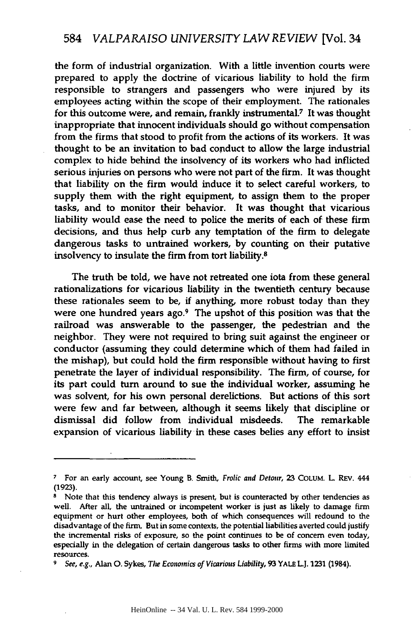the form of industrial organization. With a little invention courts were prepared to apply the doctrine of vicarious liability to hold the firm responsible to strangers and passengers who were injured **by** its employees acting within the scope of their employment. The rationales for this outcome were, and remain, frankly instrumental.7 It was thought inappropriate that innocent individuals should go without compensation from the firms that stood to profit from the actions of its workers. It was thought to be an invitation to bad conduct to allow the large industrial complex to hide behind the insolvency of its workers who had inflicted serious injuries on persons who were not part of the firm. It was thought that liability on the firm would induce it to select careful workers, to supply them with the right equipment, to assign them to the proper tasks, and to monitor their behavior. It was thought that vicarious liability would ease the need to police the merits of each of these firm decisions, and thus help curb any temptation of the firm to delegate dangerous tasks to untrained workers, **by** counting on their putative insolvency to insulate the firm from tort liability.8

The truth be told, we have not retreated one iota from these general rationalizations for vicarious liability in the twentieth century because these rationales seem to be, if anything, more robust today than they were one hundred years ago.<sup>9</sup> The upshot of this position was that the railroad was answerable to the passenger, the pedestrian and the neighbor. They were not required to bring suit against the engineer or conductor (assuming they could determine which of them had failed in the mishap), but could hold the firm responsible without having to first penetrate the layer of individual responsibility. The firm, of course, for its part could turn around to sue the individual worker, assuming he was solvent, for his own personal derelictions. But actions of this sort were few and far between, although it seems likely that discipline or dismissal did follow from individual misdeeds. The remarkable expansion of vicarious liability in these cases belies any effort to insist

**<sup>7</sup>**For an early account, see Young B. Smith, Frolic and Detour, **23** COLUM. L REv. 444 **(1923).**

**<sup>8</sup>** Note that this tendency always is present, but is counteracted **by** other tendencies as well. After all, the untrained or incompetent worker is just as likely to damage firm equipment or hurt other employees, both of which consequences will redound to the disadvantage of the firm. But in some contexts, the potential liabilities averted could justify the incremental risks of exposure, so the point continues to be of concern even today, especially in the delegation of certain dangerous tasks to other firms with more limited resources.

*<sup>9</sup>* See, e.g., Alan **0.** Sykes, The Economics of Vicarious Liability, **93** YALE **L.J. 1231** (1984).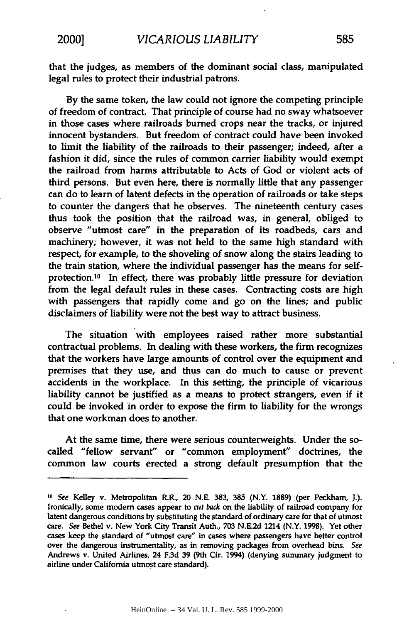that the judges, as members of the dominant social class, manipulated legal rules to protect their industrial patrons.

**By** the same token, the law could not ignore the competing principle of freedom of contract. That principle of course **had** no sway whatsoever in those cases where railroads burned crops near the tracks, or injured innocent bystanders. But freedom of contract could have been invoked to limit the liability of the railroads to their passenger; indeed, after a fashion it did, since the rules of common carrier liability would exempt the railroad from harms attributable to Acts of God or violent acts of third persons. But even here, there is normally little that any passenger can do to learn of latent defects in the operation of railroads or take steps to counter the dangers that he observes. The nineteenth century cases thus took the position that the railroad was, in general, obliged to observe "utmost care" in the preparation of its roadbeds, cars and machinery; however, it was not held to the same high standard with respect, for example, to the shoveling of snow along the stairs leading to the train station, where the individual passenger has the means for selfprotection.10 In effect, there was probably little pressure for deviation from the legal default rules in these cases. Contracting costs are high with passengers that rapidly come and go on the lines; and public disclaimers of liability were not the best way to attract business.

The situation with employees raised rather more substantial contractual problems. In dealing with these workers, the firm recognizes that the workers have large amounts of control over the equipment and premises that they use, and thus can do much to cause or prevent accidents in the workplace. In this setting, the principle of vicarious liability cannot be justified as a means to protect strangers, even if it could be invoked in order to expose the firm to liability for the wrongs that one workman does to another.

At the same time, there were serious counterweights. Under the socalled "fellow servant" or "common employment" doctrines, the common law courts erected a strong default presumption that the

**<sup>10</sup>** See Kelley v. Metropolitan R.R., 20 **N.E. 383, 385** (N.Y. **1889)** (per Peckham, J.). Ironically, some modern cases appear to *cut back* on the liability of railroad company for latent dangerous conditions **by** substituting the standard of ordinary care for that of utmost care. See Bethel v. New York City Transit Auth., **703 N.E.2d** 1214 (N.Y. **1998).** Yet other cases keep the standard of "utmost care" in cases where passengers have better control over the dangerous instrumentality, as in removing packages from overhead bins. See Andrews v. United Airlines, 24 **F.3d 39** (9th Cir. 1994) (denying summary judgment to airline under California utmost care standard).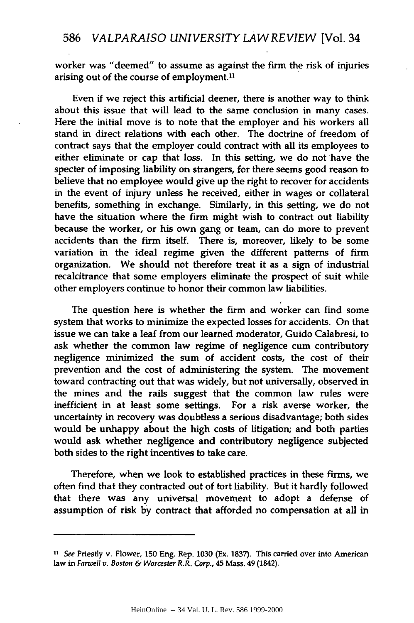worker was "deemed" to assume as against the firm the risk of injuries arising out of the course of employment.<sup>11</sup>

Even if we reject this artificial deener, there is another way to think about this issue that will lead to the same conclusion in many cases. Here the initial move is to note that the employer and his workers all stand in direct relations with each other. The doctrine of freedom of contract says that the employer could contract with all its employees to either eliminate or cap that loss. In this setting, we do not have the specter of imposing liability on strangers, for there seems good reason to believe that no employee would give up the right to recover for accidents in the event of injury unless he received, either in wages or collateral benefits, something in exchange. Similarly, in this setting, we do not have the situation where the firm might wish to contract out liability because the worker, or his own gang or team, can do more to prevent accidents than the firm itself. There is, moreover, likely to be some variation in the ideal regime given the different patterns of firm organization. We should not therefore treat it as a sign of industrial recalcitrance that some employers eliminate the prospect of suit while other employers continue to honor their common law liabilities.

The question here is whether the firm and worker can find some system that works to minimize the expected losses for accidents. On that issue we can take a leaf from our learned moderator, Guido Calabresi, to ask whether the common law regime of negligence cum contributory negligence minimized the sum of accident costs, the cost of their prevention and the cost of administering the system. The movement toward contracting out that was widely, but not universally, observed in the mines and the rails suggest that the common law rules were inefficient in at least some settings. For a risk averse worker, the uncertainty in recovery was doubtless a serious disadvantage; both sides would be unhappy about the high costs of litigation; and both parties would ask whether negligence and contributory negligence subjected both sides to the right incentives to take care.

Therefore, when we look to established practices in these firms, we often find that they contracted out of tort liability. But it hardly followed that there was any universal movement to adopt a defense of assumption of risk **by** contract that afforded no compensation at all in

*<sup>11</sup>* See Priestly v. Flower, **150** Eng. Rep. **1030** (Ex. **1837).** This carried over into American law in **Farwell** *v.* Boston *&'Worcester R.R. Corp.,* 45 Mass. 49 (1842).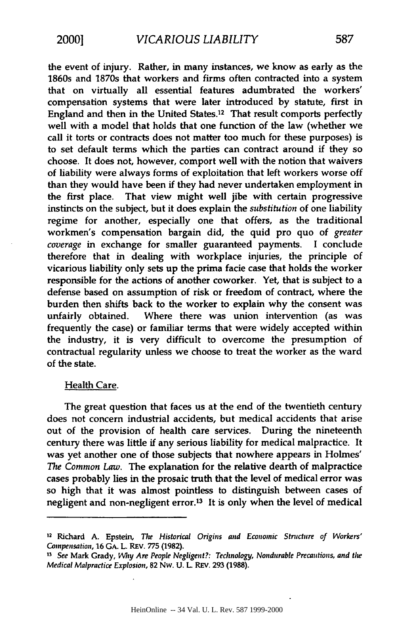the event of injury. Rather, in many instances, we know as early as the 1860s and 1870s that workers and firms often contracted into a system that on virtually all essential features adumbrated the workers' compensation systems that were later introduced **by** statute, first in England and then in the United States.12 That result comports perfectly well with a model that holds that one function of the law (whether we call it torts or contracts does not matter too much for these purposes) is to set default terms which the parties can contract around if they so choose. It does not, however, comport well with the notion that waivers of liability were always forms of exploitation that left workers worse off than they would have been if they had never undertaken employment in the first place. That view might well jibe with certain progressive instincts on the subject, but it does explain the *substitution* of one liability regime for another, especially one that offers, as the traditional workmen's compensation bargain did, the quid pro quo of greater *coverage* in exchange for smaller guaranteed payments. **I** conclude therefore that in dealing with workplace injuries, the principle of vicarious liability only sets up the prima facie case that holds the worker responsible for the actions of another coworker. Yet, that is subject to a defense based **on** assumption of risk or freedom of contract, where the burden then shifts back to the worker to explain why the consent was unfairly obtained. Where there was union intervention (as was frequently the case) or familiar terms that were widely accepted within the industry, it is very difficult to overcome the presumption of contractual regularity unless we choose to treat the worker as the ward of the state.

#### Health Care.

The great question that faces us at the end of the twentieth century does not concern industrial accidents, but medical accidents that arise out of the provision of health care services. During the nineteenth century there was little if any serious liability for medical malpractice. It was yet another one of those subjects that nowhere appears in Holmes' *The Common Law.* The explanation for the relative dearth of malpractice cases probably lies in the prosaic truth that the level of medical error was so high that it was almost pointless to distinguish between cases of negligent and non-negligent error.13 It is only when the level of medical

<sup>12</sup> Richard **A.** Epstein, The Historical Origins and Economic Stncture of Workers' *Compensation,* **16 GA.** L. REv. **775 (1982).**

**<sup>13</sup>** See Mark Grady, *Wlty* Are People Negligent?: Technology, Nondurable *Precautions,* and **the** *Medical Malpractice Explosion,* **82** Nw. **U.** L REV. **293 (1988).**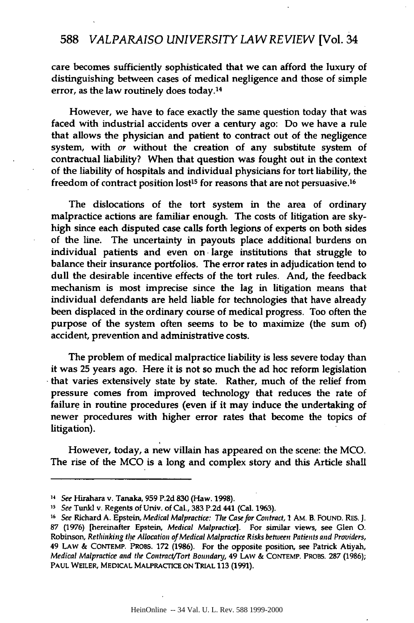## **588** *VALPARAISO UNIVERSITY LAW REVIEW* [Vol. 34

care becomes sufficiently sophisticated that we can afford the luxury of distinguishing between cases of medical negligence and those of simple error, as the law routinely does today.<sup>14</sup>

However, we have to face exactly the same question today that was faced with industrial accidents over a century ago: Do we have a rule that allows the physician and patient to contract out of the negligence system, with or without the creation of any substitute system of contractual liability? When that question was fought out in the context of the liability of hospitals and individual physicians for tort liability, the freedom of contract position lost<sup>15</sup> for reasons that are not persuasive.<sup>16</sup>

The dislocations of the tort system in the area of ordinary malpractice actions are familiar enough. The costs of litigation are skyhigh since each disputed case calls forth legions of experts on both sides of the line. The uncertainty in payouts place additional burdens on individual patients and even on -large institutions that struggle to balance their insurance portfolios. The error rates in adjudication tend to dull the desirable incentive effects of the tort rules. And, the feedback mechanism is most imprecise since the lag in litigation means that individual defendants are held liable for technologies that have already been displaced in the ordinary course of medical progress. Too often the purpose of the system often seems to be to maximize (the sum of) accident, prevention and administrative costs.

The problem of medical malpractice liability is less severe today than it was **25** years ago. Here it is not so much the ad hoc reform legislation that varies extensively state **by** state. Rather, much of the relief from pressure comes from improved technology that reduces the rate of failure in routine procedures (even if it may induce the undertaking of newer procedures with higher error rates that become the topics of litigation).

However, today, a new villain has appeared on the scene: the **MCO.** The rise of the **MCO** is a long and complex story and this Article shall

*<sup>11</sup>* See Hirahara v. Tanaka, **959 P.2d 830** (Haw. **1998).**

*<sup>15</sup>* See Tunkl v. Regents of Univ. of Cal., **383 P.2d** 441 (Cal. **1963).**

**<sup>16</sup>**See Richard **A.** Epstein, Medical Malpractice: The Case for Contract, *1* AM. B. **FOUND.** RES. **J. 87 (1976)** [hereinafter Epstein, Medical Malpractice]. For similar views, see Glen **0.** Robinson, Rethinking tire Allocation of Medical Malpractice Risks between Patients **and** Providers, 49 LAW **& CONTEMP.** PROBS. **172 (1986).** For the opposite position, see Patrick Atiyah, Medical Malpractice **and** the Contract/Tort **Boundanj,** 49 **LAW & CONTEMP.** PROBS. **287 (1986); PAUL** WEILER, **MEDICAL** MALPRACTICE **ON** TRIAL **113 (1991).**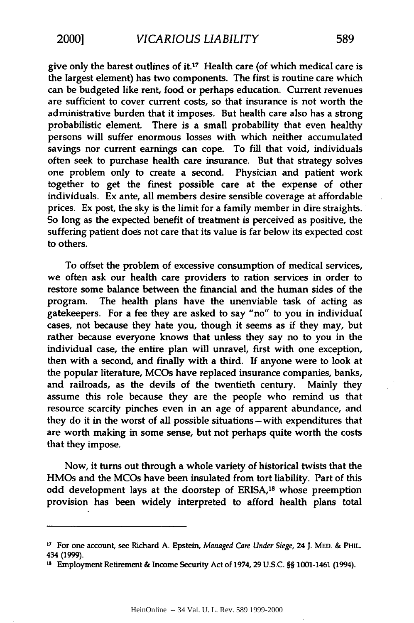give only the barest outlines **of** it.17 Health care (of which medical care is the largest element) has two components. The first is routine care which can be budgeted like rent, food or perhaps education. Current revenues are sufficient to cover current costs, so that insurance is not worth the administrative burden that it imposes. But health care also has a strong probabilistic element. There is a small probability that even healthy persons will suffer enormous losses with which neither accumulated savings nor current earnings can cope. To **fill** that void, individuals often seek to purchase health care insurance. But that strategy solves one problem only to create a second. Physician and patient work together to get the finest possible care at the expense of other individuals. Ex ante, all members desire sensible coverage at affordable prices. Ex post, the sky is the limit for a family member in dire straights. So long as the expected benefit of treatment is perceived as positive, the suffering patient does not care that its value is far below its expected cost to others.

To offset the problem of excessive consumption of medical services, we often ask our health care providers to ration services in order to restore some balance between the financial and the human sides of the program. The health plans have the unenviable task of acting as gatekeepers. For a fee they are asked to say "no" to you in individual cases, not because they hate you, though it seems as if they may, but rather because everyone knows that unless they say no to you in the individual case, the entire plan will unravel, first with one exception, then with a second, and finally with a third. **If** anyone were to look at the popular literature, MCOs have replaced insurance companies, banks, and railroads, as the devils of the twentieth century. Mainly they assume this role because they are the people who remind us that resource scarcity pinches even in an age of apparent abundance, and they do it in the worst of all possible situations - with expenditures that are worth making in some sense, but not perhaps quite worth the costs that they impose.

Now, it turns out through a whole variety of historical twists that the HMOs and the MCOs have been insulated from tort liability. Part of this odd development lays at the doorstep of ERISA,<sup>18</sup> whose preemption provision has been widely interpreted to afford health plans total

**<sup>17</sup>** For one account, see Richard **A.** Epstein, Managed Care *Under* Siege, 24 J. MED. & PHIL. 434 (1999). 18 Employment Retirement **&** Income Security Act of **1974, 29 U.S.C.** §§ 1001-1461 (1994).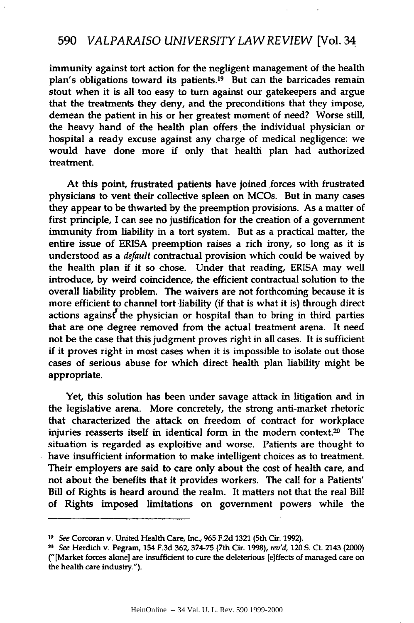immunity against tort action for the negligent management of the health plan's obligations toward its patients.<sup>19</sup> But can the barricades remain stout when it is all too easy to turn against our gatekeepers and argue that the treatments they deny, and the preconditions that they impose, demean the patient in his or her greatest moment of need? Worse still, the heavy hand of the health plan offers the individual physician or hospital a ready excuse against any charge of medical negligence: we would have done more **if** only that health plan had authorized treatment.

At this point, frustrated patients have joined forces with frustrated physicians to vent their collective spleen on MCOs. But in many cases they appear to be thwarted by the preemption provisions. As a matter of first principle, I can see no justification for the creation of a government immunity from liability in a tort system. But as a practical matter, the entire issue of ERISA preemption raises a rich irony, so long as it is understood as a *default* contractual provision which could be waived by the health plan if it so chose. Under that reading, ERISA may well introduce, by weird coincidence, the efficient contractual solution to the overall liability problem. The waivers are not forthcoming because it is more efficient to channel tort liability (if that is what it is) through direct actions against' the physician or hospital than to bring in third parties that are one degree removed from the actual treatment arena. It need not be the case that this judgment proves right in all cases. It is sufficient if it proves right in most cases when it is impossible to isolate out those cases of serious abuse for which direct health plan liability might be appropriate.

Yet, this solution has been under savage attack in litigation and in the legislative arena. More concretely, the strong anti-market rhetoric that characterized the attack on freedom of contract for workplace injuries reasserts itself in identical form in the modem context.20 The situation is regarded as exploitive and worse. Patients are thought to have insufficient information to make intelligent choices as to treatment. Their employers are said to care only about the cost of health care, and not about the benefits that it provides workers. The call for a Patients' Bill of Rights is heard around the realm. It matters not that the real Bill of Rights imposed limitations on government powers while the

**<sup>19</sup>** See Corcoran v. United Health Care, Inc., **965 F.2d 1321** (5th Cir. **1992).**

<sup>20</sup> See Herdich v. Pegram, 154 **F.3d 362, 374-75** (7th Cir. **1998),** rev'd, 120 **S.** Ct. 2143 (2000) ("[Market forces alone] are insufficient to cure the deleterious [e]ffects of managed care on the health care industry.").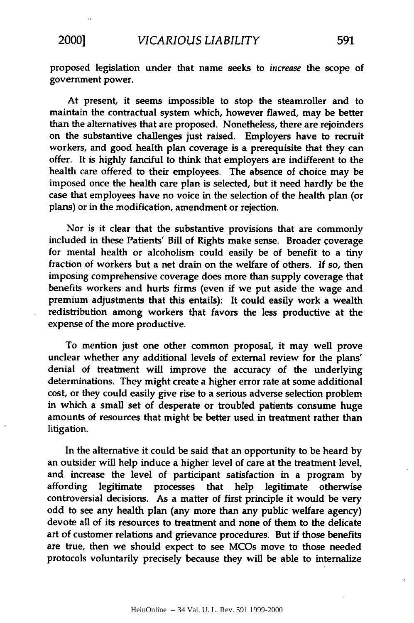proposed legislation under that name seeks to *increase* the scope of government power.

At present, it seems impossible to stop the steamroller and to maintain the contractual system which, however flawed, may be better than the alternatives that are proposed. Nonetheless, there are rejoinders on the substantive challenges just raised. Employers have to recruit workers, and good health plan coverage is a prerequisite that they can offer. It is **highly** fanciful to think that employers are indifferent to the health care offered to their employees. The absence of choice may be imposed once the health care plan is selected, but it need hardly be the case that employees have no voice in the selection of the health plan (or plans) or in the modification, amendment or rejection.

Nor is it clear that the substantive provisions that are commonly included in these Patients' Bill of Rights make sense. Broader coverage for mental health or alcoholism could easily be of benefit to a tiny fraction of workers but a net drain on the welfare of others. **If** so, then imposing comprehensive coverage does more than supply coverage that benefits workers and hurts firms (even if we put aside the wage and premium adjustments that this entails): It could easily work a wealth redistribution among workers that favors the less productive at the expense of the more productive.

To mention just one other common proposal, it may well prove unclear whether any additional levels of external review for the plans' denial of treatment will improve the accuracy of the underlying determinations. They might create a higher error rate at some additional cost, or they could easily give rise to a serious adverse selection problem in which a small set of desperate or troubled patients consume huge amounts of resources that might be better used in treatment rather than litigation.

In the alternative it could be said that an opportunity to be heard **by** an outsider will help induce a higher level of care at the treatment level, and increase the level of participant satisfaction in a program **by** affording legitimate processes that help legitimate otherwise controversial decisions. As a matter of first principle it would be very odd to see any health plan (any more than any public welfare agency) devote all of its resources to treatment and none of them to the delicate art of customer relations and grievance procedures. But if those benefits are true, then we should expect to see MCOs move to those needed protocols voluntarily precisely because they will be able to internalize

ć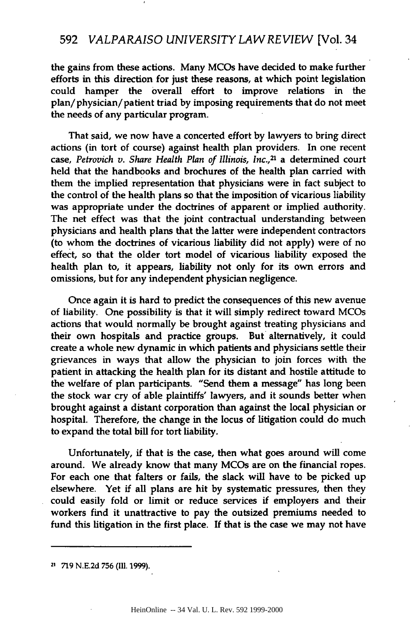the gains from these actions. Many MCOs have decided to make further efforts in this direction for just these reasons, at which point legislation could hamper the overall effort to improve relations in the plan/physician/patient triad **by** imposing requirements that do not meet the needs of any particular program.

That said, we now have a concerted effort **by** lawyers to bring direct actions (in tort of course) against health plan providers. In one recent case, *Petrovich v. Share Health Plan of Illinois, Inc.,21* a determined court held that the handbooks and brochures of the health plan carried with them the implied representation that physicians were in fact subject to the control of the health plans so that the imposition of vicarious liability was appropriate under the doctrines of apparent or implied authority. The net effect was that the joint contractual understanding between physicians and health plans that the latter were independent contractors (to whom the doctrines of vicarious liability did not apply) were of no effect, so that the older tort model of vicarious liability exposed the health plan to, it appears, liability not only for its own errors and omissions, but for any independent physician negligence.

Once again it is hard to predict the consequences of this new avenue of liability. One possibility is that it will simply redirect toward MCOs actions that would normally be brought against treating physicians and their own hospitals and practice groups. But alternatively, it could create a whole new dynamic in which patients and physicians settle their grievances in ways that allow the physician to join forces with the patient in attacking the health plan for its distant and hostile attitude to the welfare of plan participants. "Send them a message" has long been the stock war cry of able plaintiffs' lawyers, and it sounds better when brought against a distant corporation than against the local physician or hospital. Therefore, the change in the locus of litigation could do much to expand the total bill for tort liability.

Unfortunately, if that is the case, then what goes around will come around. We already know that many MCOs are on the financial ropes. For each one that falters or fails, the slack will have to be picked up elsewhere. Yet if all plans are hit **by** systematic pressures, then they could easily fold or limit or reduce services if employers and their workers find it unattractive to pay the outsized premiums needed to fund this litigation in the first place. **If** that is the case we may not have

**<sup>21 719</sup> N.E.2d 756 (111. 1999).**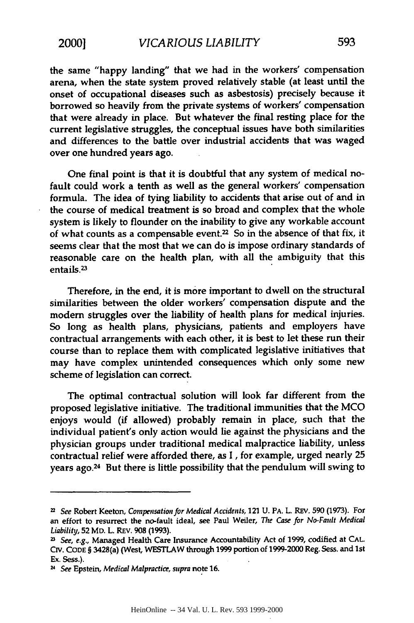the same "happy landing" that we had in the workers' compensation arena, when the state system proved relatively stable (at least until the onset of occupational diseases such as asbestosis) precisely because it borrowed so heavily from the private systems of workers' compensation that were already in place. But whatever the final resting place for the current legislative struggles, the conceptual issues have both similarities and differences to the battle over industrial accidents that was waged over one hundred years ago.

One final point is that it is doubtful that any system of medical nofault could work a tenth as well as the general workers' compensation formula. The idea of **tying** liability to accidents that arise out of and in the course of medical treatment is so broad and complex that the whole system is likely to flounder on the inability to give any workable account of what counts as a compensable event.<sup>22</sup> So in the absence of that fix, it seems clear that the most that we can do is impose ordinary standards of reasonable care on the health plan, with all the ambiguity that this entails.<sup>23</sup>

Therefore, in the end, it is more important to dwell on the structural similarities between the older workers' compensation dispute and the modem struggles over the liability of health plans for medical injuries. So long as health plans, physicians, patients and employers have contractual arrangements with each other, it is best to let these run their course than to replace them with complicated legislative initiatives that may have complex unintended consequences which only some new scheme of legislation can correct.

The optimal contractual solution will look far different from the proposed legislative initiative. The traditional immunities that the **MCO** enjoys would (if allowed) probably remain in place, such that the individual patient's only action would **lie** against the physicians and the physician groups under traditional medical malpractice liability, unless contractual relief were afforded there, as **I ,** for example, urged nearly **25** years ago.<sup>24</sup> But there is little possibility that the pendulum will swing to

**<sup>22</sup>** *See* Robert Keeton, *Compensation for Medical Accidents,* 121 **U.** PA. L. REV. **590 (1973).** For an effort to resurrect the no-fault ideal, see Paul Weiler, *The Case for No-Fault Medical Liability,* **52** MD. L. REV. **908 (1993).**

**<sup>23</sup>** *See, e.g.,* Managed Health Care Insurance Accountability Act of **1999,** codified at **CAL. CIV. CODE** § 3428(a) (West, WESTLAW through **1999** portion of **1999-2000** Reg. Sess. and 1st Ex. Sess.).

**<sup>24</sup>** *See* Epstein, *Medical Malpractice, supra* note **16.**